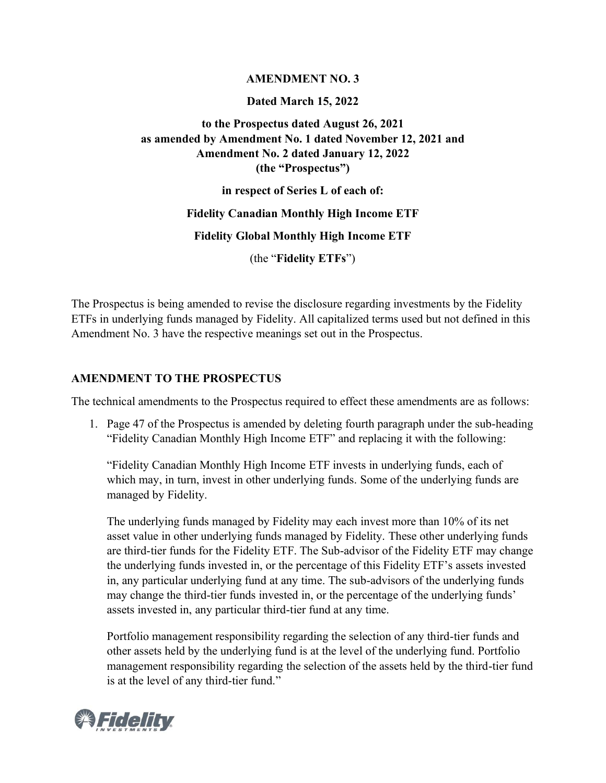### **AMENDMENT NO. 3**

### **Dated March 15, 2022**

# **to the Prospectus dated August 26, 2021 as amended by Amendment No. 1 dated November 12, 2021 and Amendment No. 2 dated January 12, 2022 (the "Prospectus")**

**in respect of Series L of each of:**

### **Fidelity Canadian Monthly High Income ETF**

**Fidelity Global Monthly High Income ETF**

(the "**Fidelity ETFs**")

The Prospectus is being amended to revise the disclosure regarding investments by the Fidelity ETFs in underlying funds managed by Fidelity. All capitalized terms used but not defined in this Amendment No. 3 have the respective meanings set out in the Prospectus.

# **AMENDMENT TO THE PROSPECTUS**

The technical amendments to the Prospectus required to effect these amendments are as follows:

1. Page 47 of the Prospectus is amended by deleting fourth paragraph under the sub-heading "Fidelity Canadian Monthly High Income ETF" and replacing it with the following:

"Fidelity Canadian Monthly High Income ETF invests in underlying funds, each of which may, in turn, invest in other underlying funds. Some of the underlying funds are managed by Fidelity.

The underlying funds managed by Fidelity may each invest more than 10% of its net asset value in other underlying funds managed by Fidelity. These other underlying funds are third-tier funds for the Fidelity ETF. The Sub-advisor of the Fidelity ETF may change the underlying funds invested in, or the percentage of this Fidelity ETF's assets invested in, any particular underlying fund at any time. The sub-advisors of the underlying funds may change the third-tier funds invested in, or the percentage of the underlying funds' assets invested in, any particular third-tier fund at any time.

Portfolio management responsibility regarding the selection of any third-tier funds and other assets held by the underlying fund is at the level of the underlying fund. Portfolio management responsibility regarding the selection of the assets held by the third-tier fund is at the level of any third-tier fund."

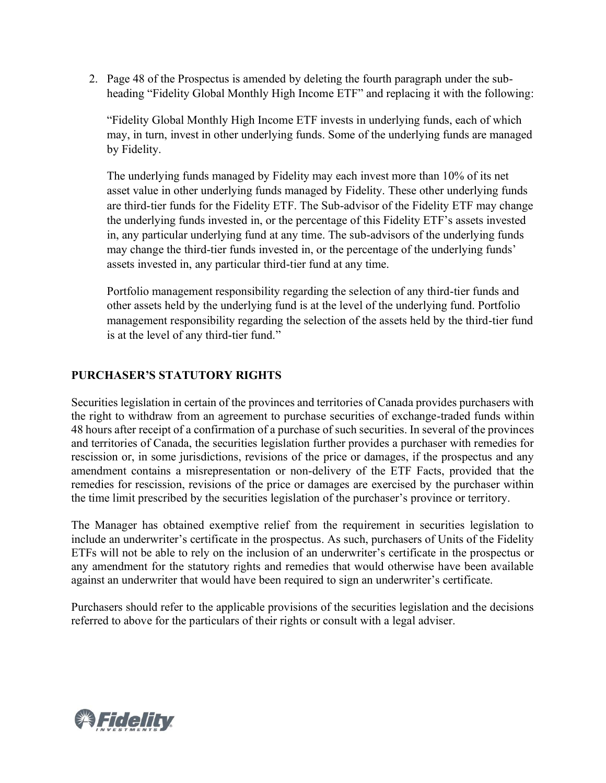2. Page 48 of the Prospectus is amended by deleting the fourth paragraph under the subheading "Fidelity Global Monthly High Income ETF" and replacing it with the following:

"Fidelity Global Monthly High Income ETF invests in underlying funds, each of which may, in turn, invest in other underlying funds. Some of the underlying funds are managed by Fidelity.

The underlying funds managed by Fidelity may each invest more than 10% of its net asset value in other underlying funds managed by Fidelity. These other underlying funds are third-tier funds for the Fidelity ETF. The Sub-advisor of the Fidelity ETF may change the underlying funds invested in, or the percentage of this Fidelity ETF's assets invested in, any particular underlying fund at any time. The sub-advisors of the underlying funds may change the third-tier funds invested in, or the percentage of the underlying funds' assets invested in, any particular third-tier fund at any time.

Portfolio management responsibility regarding the selection of any third-tier funds and other assets held by the underlying fund is at the level of the underlying fund. Portfolio management responsibility regarding the selection of the assets held by the third-tier fund is at the level of any third-tier fund."

# **PURCHASER'S STATUTORY RIGHTS**

Securities legislation in certain of the provinces and territories of Canada provides purchasers with the right to withdraw from an agreement to purchase securities of exchange-traded funds within 48 hours after receipt of a confirmation of a purchase of such securities. In several of the provinces and territories of Canada, the securities legislation further provides a purchaser with remedies for rescission or, in some jurisdictions, revisions of the price or damages, if the prospectus and any amendment contains a misrepresentation or non-delivery of the ETF Facts, provided that the remedies for rescission, revisions of the price or damages are exercised by the purchaser within the time limit prescribed by the securities legislation of the purchaser's province or territory.

The Manager has obtained exemptive relief from the requirement in securities legislation to include an underwriter's certificate in the prospectus. As such, purchasers of Units of the Fidelity ETFs will not be able to rely on the inclusion of an underwriter's certificate in the prospectus or any amendment for the statutory rights and remedies that would otherwise have been available against an underwriter that would have been required to sign an underwriter's certificate.

Purchasers should refer to the applicable provisions of the securities legislation and the decisions referred to above for the particulars of their rights or consult with a legal adviser.